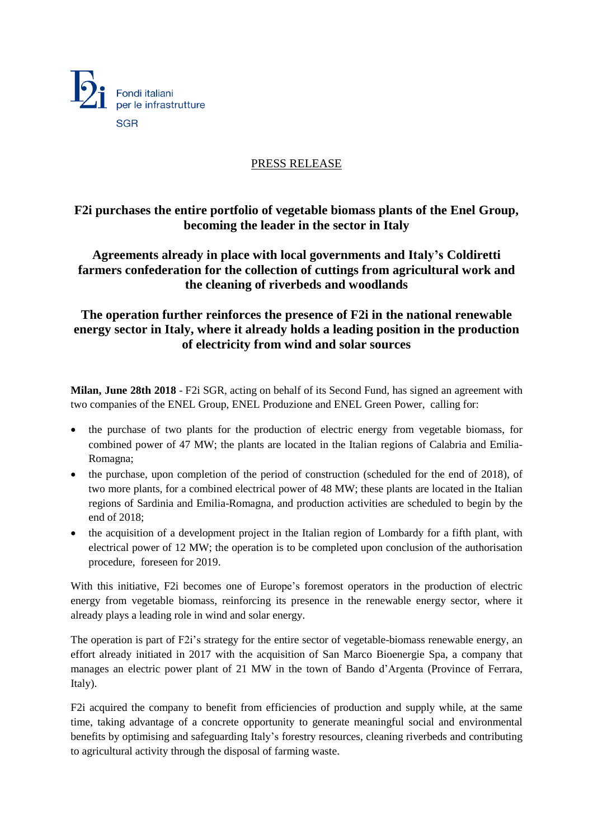

## PRESS RELEASE

## **F2i purchases the entire portfolio of vegetable biomass plants of the Enel Group, becoming the leader in the sector in Italy**

**Agreements already in place with local governments and Italy's Coldiretti farmers confederation for the collection of cuttings from agricultural work and the cleaning of riverbeds and woodlands**

## **The operation further reinforces the presence of F2i in the national renewable energy sector in Italy, where it already holds a leading position in the production of electricity from wind and solar sources**

**Milan, June 28th 2018** - F2i SGR, acting on behalf of its Second Fund, has signed an agreement with two companies of the ENEL Group, ENEL Produzione and ENEL Green Power, calling for:

- the purchase of two plants for the production of electric energy from vegetable biomass, for combined power of 47 MW; the plants are located in the Italian regions of Calabria and Emilia-Romagna;
- the purchase, upon completion of the period of construction (scheduled for the end of 2018), of two more plants, for a combined electrical power of 48 MW; these plants are located in the Italian regions of Sardinia and Emilia-Romagna, and production activities are scheduled to begin by the end of 2018;
- the acquisition of a development project in the Italian region of Lombardy for a fifth plant, with electrical power of 12 MW; the operation is to be completed upon conclusion of the authorisation procedure, foreseen for 2019.

With this initiative, F2i becomes one of Europe's foremost operators in the production of electric energy from vegetable biomass, reinforcing its presence in the renewable energy sector, where it already plays a leading role in wind and solar energy.

The operation is part of F2i's strategy for the entire sector of vegetable-biomass renewable energy, an effort already initiated in 2017 with the acquisition of San Marco Bioenergie Spa, a company that manages an electric power plant of 21 MW in the town of Bando d'Argenta (Province of Ferrara, Italy).

F2i acquired the company to benefit from efficiencies of production and supply while, at the same time, taking advantage of a concrete opportunity to generate meaningful social and environmental benefits by optimising and safeguarding Italy's forestry resources, cleaning riverbeds and contributing to agricultural activity through the disposal of farming waste.